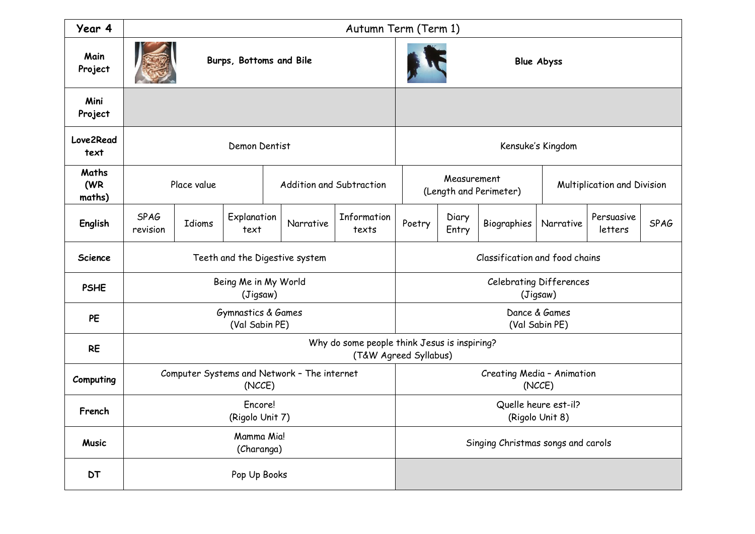| Year 4                 | Autumn Term (Term 1)                                                  |        |                          |           |                                       |                                            |                             |             |           |                       |             |
|------------------------|-----------------------------------------------------------------------|--------|--------------------------|-----------|---------------------------------------|--------------------------------------------|-----------------------------|-------------|-----------|-----------------------|-------------|
| Main<br>Project        | Burps, Bottoms and Bile                                               |        |                          |           |                                       | <b>Blue Abyss</b>                          |                             |             |           |                       |             |
| Mini<br>Project        |                                                                       |        |                          |           |                                       |                                            |                             |             |           |                       |             |
| Love2Read<br>text      | Demon Dentist                                                         |        |                          |           |                                       |                                            | Kensuke's Kingdom           |             |           |                       |             |
| Maths<br>(WR<br>maths) | Place value                                                           |        | Addition and Subtraction |           | Measurement<br>(Length and Perimeter) |                                            | Multiplication and Division |             |           |                       |             |
| English                | <b>SPAG</b><br>revision                                               | Idioms | Explanation<br>text      | Narrative | Information<br>texts                  | Poetry                                     | Diary<br>Entry              | Biographies | Narrative | Persuasive<br>letters | <b>SPAG</b> |
| Science                | Teeth and the Digestive system                                        |        |                          |           |                                       | Classification and food chains             |                             |             |           |                       |             |
| <b>PSHE</b>            | Being Me in My World<br>(Jigsaw)                                      |        |                          |           |                                       | <b>Celebrating Differences</b><br>(Jigsaw) |                             |             |           |                       |             |
| PE                     | Gymnastics & Games<br>(Val Sabin PE)                                  |        |                          |           |                                       | Dance & Games<br>(Val Sabin PE)            |                             |             |           |                       |             |
| <b>RE</b>              | Why do some people think Jesus is inspiring?<br>(T&W Agreed Syllabus) |        |                          |           |                                       |                                            |                             |             |           |                       |             |
| Computing              | Computer Systems and Network - The internet<br>(NCCE)                 |        |                          |           |                                       | Creating Media - Animation<br>(NCCE)       |                             |             |           |                       |             |
| French                 | Encore!<br>(Rigolo Unit 7)                                            |        |                          |           |                                       | Quelle heure est-il?<br>(Rigolo Unit 8)    |                             |             |           |                       |             |
| <b>Music</b>           | Mamma Mia!<br>(Charanga)                                              |        |                          |           |                                       | Singing Christmas songs and carols         |                             |             |           |                       |             |
| <b>DT</b>              | Pop Up Books                                                          |        |                          |           |                                       |                                            |                             |             |           |                       |             |